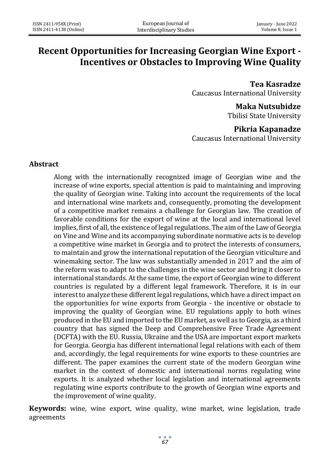# **Recent Opportunities for Increasing Georgian Wine Export - Incentives or Obstacles to Improving Wine Quality**

**Tea Kasradze** Caucasus International University

> **Maka Nutsubidze** Tbilisi State University

## **Pikria Kapanadze**

Caucasus International University

#### **Abstract**

Along with the internationally recognized image of Georgian wine and the increase of wine exports, special attention is paid to maintaining and improving the quality of Georgian wine. Taking into account the requirements of the local and international wine markets and, consequently, promoting the development of a competitive market remains a challenge for Georgian law. The creation of favorable conditions for the export of wine at the local and international level implies, first of all, the existence of legal regulations. The aim of the Law of Georgia on Vine and Wine and its accompanying subordinate normative acts is to develop a competitive wine market in Georgia and to protect the interests of consumers, to maintain and grow the international reputation of the Georgian viticulture and winemaking sector. The law was substantially amended in 2017 and the aim of the reform was to adapt to the challenges in the wine sector and bring it closer to international standards. At the same time, the export of Georgian wine to different countries is regulated by a different legal framework. Therefore, it is in our interest to analyze these different legal regulations, which have a direct impact on the opportunities for wine exports from Georgia - the incentive or obstacle to improving the quality of Georgian wine. EU regulations apply to both wines produced in the EU and imported to the EU market, as well as to Georgia, as a third country that has signed the Deep and Comprehensive Free Trade Agreement (DCFTA) with the EU. Russia, Ukraine and the USA are important export markets for Georgia. Georgia has different international legal relations with each of them and, accordingly, the legal requirements for wine exports to these countries are different. The paper examines the current state of the modern Georgian wine market in the context of domestic and international norms regulating wine exports. It is analyzed whether local legislation and international agreements regulating wine exports contribute to the growth of Georgian wine exports and the improvement of wine quality.

**Keywords:** wine, wine export, wine quality, wine market, wine legislation, trade agreements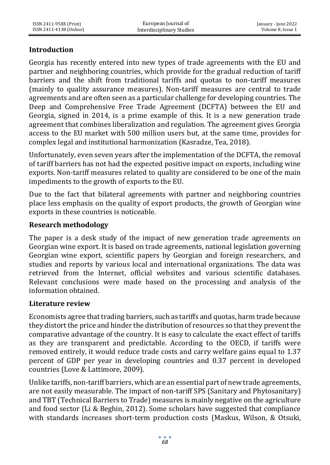# **Introduction**

Georgia has recently entered into new types of trade agreements with the EU and partner and neighboring countries, which provide for the gradual reduction of tariff barriers and the shift from traditional tariffs and quotas to non-tariff measures (mainly to quality assurance measures). Non-tariff measures are central to trade agreements and are often seen as a particular challenge for developing countries. The Deep and Comprehensive Free Trade Agreement (DCFTA) between the EU and Georgia, signed in 2014, is a prime example of this. It is a new generation trade agreement that combines liberalization and regulation. The agreement gives Georgia access to the EU market with 500 million users but, at the same time, provides for complex legal and institutional harmonization (Kasradze, Tea, 2018).

Unfortunately, even seven years after the implementation of the DCFTA, the removal of tariff barriers has not had the expected positive impact on exports, including wine exports. Non-tariff measures related to quality are considered to be one of the main impediments to the growth of exports to the EU.

Due to the fact that bilateral agreements with partner and neighboring countries place less emphasis on the quality of export products, the growth of Georgian wine exports in these countries is noticeable.

## **Research methodology**

The paper is a desk study of the impact of new generation trade agreements on Georgian wine export. It is based on trade agreements, national legislation governing Georgian wine export, scientific papers by Georgian and foreign researchers, and studies and reports by various local and international organizations. The data was retrieved from the Internet, official websites and various scientific databases. Relevant conclusions were made based on the processing and analysis of the information obtained.

#### **Literature review**

Economists agree that trading barriers, such as tariffs and quotas, harm trade because they distort the price and hinder the distribution of resources so that they prevent the comparative advantage of the country. It is easy to calculate the exact effect of tariffs as they are transparent and predictable. According to the OECD, if tariffs were removed entirely, it would reduce trade costs and carry welfare gains equal to 1.37 percent of GDP per year in developing countries and 0.37 percent in developed countries (Love & Lattimore, 2009).

Unlike tariffs, non-tariff barriers, which are an essential part of new trade agreements, are not easily measurable. The impact of non-tariff SPS (Sanitary and Phytosanitary) and TBT (Technical Barriers to Trade) measures is mainly negative on the agriculture and food sector (Li & Beghin, 2012). Some scholars have suggested that compliance with standards increases short-term production costs (Maskus, Wilson, & Otsuki,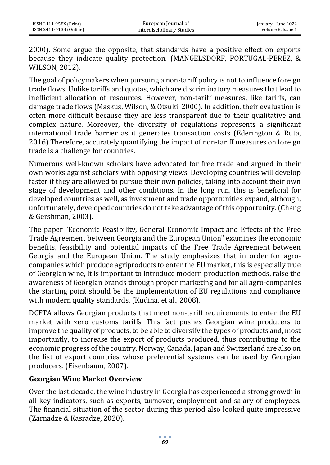2000). Some argue the opposite, that standards have a positive effect on exports because they indicate quality protection. (MANGELSDORF, PORTUGAL-PEREZ, & WILSON, 2012).

The goal of policymakers when pursuing a non-tariff policy is not to influence foreign trade flows. Unlike tariffs and quotas, which are discriminatory measures that lead to inefficient allocation of resources. However, non-tariff measures, like tariffs, can damage trade flows (Maskus, Wilson, & Otsuki, 2000). In addition, their evaluation is often more difficult because they are less transparent due to their qualitative and complex nature. Moreover, the diversity of regulations represents a significant international trade barrier as it generates transaction costs (Ederington & Ruta, 2016) Therefore, accurately quantifying the impact of non-tariff measures on foreign trade is a challenge for countries.

Numerous well-known scholars have advocated for free trade and argued in their own works against scholars with opposing views. Developing countries will develop faster if they are allowed to pursue their own policies, taking into account their own stage of development and other conditions. In the long run, this is beneficial for developed countries as well, as investment and trade opportunities expand, although, unfortunately, developed countries do not take advantage of this opportunity. (Chang & Gershman, 2003).

The paper "Economic Feasibility, General Economic Impact and Effects of the Free Trade Agreement between Georgia and the European Union" examines the economic benefits, feasibility and potential impacts of the Free Trade Agreement between Georgia and the European Union. The study emphasizes that in order for agrocompanies which produce agriproducts to enter the EU market, this is especially true of Georgian wine, it is important to introduce modern production methods, raise the awareness of Georgian brands through proper marketing and for all agro-companies the starting point should be the implementation of EU regulations and compliance with modern quality standards. (Kudina, et al., 2008).

DCFTA allows Georgian products that meet non-tariff requirements to enter the EU market with zero customs tariffs. This fact pushes Georgian wine producers to improve the quality of products, to be able to diversify the types of products and, most importantly, to increase the export of products produced, thus contributing to the economic progress of the country. Norway, Canada, Japan and Switzerland are also on the list of export countries whose preferential systems can be used by Georgian producers. (Eisenbaum, 2007).

#### **Georgian Wine Market Overview**

Over the last decade, the wine industry in Georgia has experienced a strong growth in all key indicators, such as exports, turnover, employment and salary of employees. The financial situation of the sector during this period also looked quite impressive (Zarnadze & Kasradze, 2020).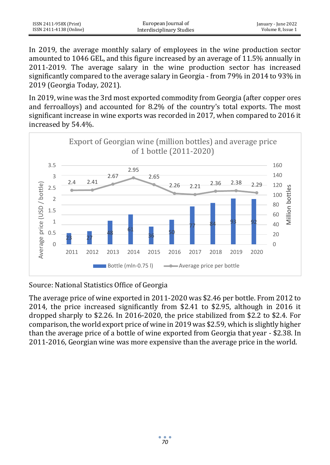| ISSN 2411-958X (Print)  | European Journal of       | January - June 2022 |
|-------------------------|---------------------------|---------------------|
| ISSN 2411-4138 (Online) | Interdisciplinary Studies | Volume 8. Issue 1   |

In 2019, the average monthly salary of employees in the wine production sector amounted to 1046 GEL, and this figure increased by an average of 11.5% annually in 2011-2019. The average salary in the wine production sector has increased significantly compared to the average salary in Georgia - from 79% in 2014 to 93% in 2019 (Georgia Today, 2021).

In 2019, wine was the 3rd most exported commodity from Georgia (after copper ores and ferroalloys) and accounted for 8.2% of the country's total exports. The most significant increase in wine exports was recorded in 2017, when compared to 2016 it increased by 54.4%.



Source: National Statistics Office of Georgia

The average price of wine exported in 2011-2020 was \$2.46 per bottle. From 2012 to 2014, the price increased significantly from \$2.41 to \$2.95, although in 2016 it dropped sharply to \$2.26. In 2016-2020, the price stabilized from \$2.2 to \$2.4. For comparison, the world export price of wine in 2019 was \$2.59, which is slightly higher than the average price of a bottle of wine exported from Georgia that year - \$2.38. In 2011-2016, Georgian wine was more expensive than the average price in the world.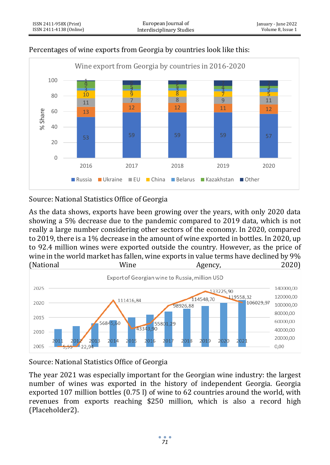

## Percentages of wine exports from Georgia by countries look like this:

Source: National Statistics Office of Georgia

As the data shows, exports have been growing over the years, with only 2020 data showing a 5% decrease due to the pandemic compared to 2019 data, which is not really a large number considering other sectors of the economy. In 2020, compared to 2019, there is a 1% decrease in the amount of wine exported in bottles. In 2020, up to 92.4 million wines were exported outside the country. However, as the price of wine in the world market has fallen, wine exports in value terms have declined by 9% (National Wine Agency, 2020)



Source: National Statistics Office of Georgia

The year 2021 was especially important for the Georgian wine industry: the largest number of wines was exported in the history of independent Georgia. Georgia exported 107 million bottles (0.75 l) of wine to 62 countries around the world, with revenues from exports reaching \$250 million, which is also a record high (Placeholder2).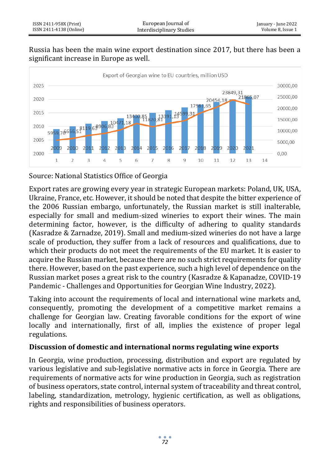#### Russia has been the main wine export destination since 2017, but there has been a significant increase in Europe as well.



Source: National Statistics Office of Georgia

Export rates are growing every year in strategic European markets: Poland, UK, USA, Ukraine, France, etc. However, it should be noted that despite the bitter experience of the 2006 Russian embargo, unfortunately, the Russian market is still inalterable, especially for small and medium-sized wineries to export their wines. The main determining factor, however, is the difficulty of adhering to quality standards (Kasradze & Zarnadze, 2019). Small and medium-sized wineries do not have a large scale of production, they suffer from a lack of resources and qualifications, due to which their products do not meet the requirements of the EU market. It is easier to acquire the Russian market, because there are no such strict requirements for quality there. However, based on the past experience, such a high level of dependence on the Russian market poses a great risk to the country (Kasradze & Kapanadze, COVID-19 Pandemic - Challenges and Opportunities for Georgian Wine Industry, 2022).

Taking into account the requirements of local and international wine markets and, consequently, promoting the development of a competitive market remains a challenge for Georgian law. Creating favorable conditions for the export of wine locally and internationally, first of all, implies the existence of proper legal regulations.

# **Discussion of domestic and international norms regulating wine exports**

In Georgia, wine production, processing, distribution and export are regulated by various legislative and sub-legislative normative acts in force in Georgia. There are requirements of normative acts for wine production in Georgia, such as registration of business operators, state control, internal system of traceability and threat control, labeling, standardization, metrology, hygienic certification, as well as obligations, rights and responsibilities of business operators.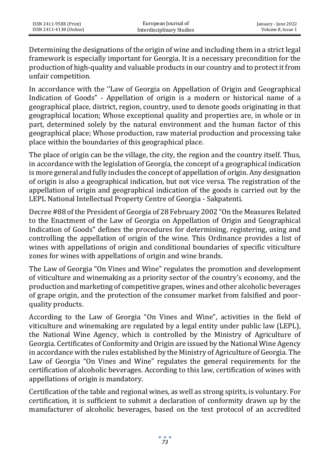Determining the designations of the origin of wine and including them in a strict legal framework is especially important for Georgia. It is a necessary precondition for the production of high-quality and valuable products in our country and to protect it from unfair competition.

In accordance with the ''Law of Georgia on Appellation of Origin and Geographical Indication of Goods" - Appellation of origin is a modern or historical name of a geographical place, district, region, country, used to denote goods originating in that geographical location; Whose exceptional quality and properties are, in whole or in part, determined solely by the natural environment and the human factor of this geographical place; Whose production, raw material production and processing take place within the boundaries of this geographical place.

The place of origin can be the village, the city, the region and the country itself. Thus, in accordance with the legislation of Georgia, the concept of a geographical indication is more general and fully includes the concept of appellation of origin. Any designation of origin is also a geographical indication, but not vice versa. The registration of the appellation of origin and geographical indication of the goods is carried out by the LEPL National Intellectual Property Centre of Georgia - Sakpatenti.

Decree #88 of the President of Georgia of 28 February 2002 "On the Measures Related to the Enactment of the Law of Georgia on Appellation of Origin and Geographical Indication of Goods" defines the procedures for determining, registering, using and controlling the appellation of origin of the wine. This Ordinance provides a list of wines with appellations of origin and conditional boundaries of specific viticulture zones for wines with appellations of origin and wine brands.

The Law of Georgia "On Vines and Wine" regulates the promotion and development of viticulture and winemaking as a priority sector of the country's economy, and the production and marketing of competitive grapes, wines and other alcoholic beverages of grape origin, and the protection of the consumer market from falsified and poorquality products.

According to the Law of Georgia "On Vines and Wine", activities in the field of viticulture and winemaking are regulated by a legal entity under public law (LEPL), the National Wine Agency, which is controlled by the Ministry of Agriculture of Georgia. Certificates of Conformity and Origin are issued by the National Wine Agency in accordance with the rules established by the Ministry of Agriculture of Georgia. The Law of Georgia "On Vines and Wine" regulates the general requirements for the certification of alcoholic beverages. According to this law, certification of wines with appellations of origin is mandatory.

Certification of the table and regional wines, as well as strong spirits, is voluntary. For certification, it is sufficient to submit a declaration of conformity drawn up by the manufacturer of alcoholic beverages, based on the test protocol of an accredited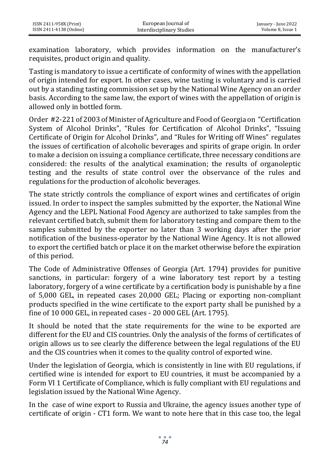examination laboratory, which provides information on the manufacturer's requisites, product origin and quality.

Tasting is mandatory to issue a certificate of conformity of wines with the appellation of origin intended for export. In other cases, wine tasting is voluntary and is carried out by a standing tasting commission set up by the National Wine Agency on an order basis. According to the same law, the export of wines with the appellation of origin is allowed only in bottled form.

Order #2-221 of 2003 of Minister of Agriculture and Food of Georgia on "Certification System of Alcohol Drinks", "Rules for Certification of Alcohol Drinks", "Issuing Certificate of Origin for Alcohol Drinks", and "Rules for Writing off Wines" regulates the issues of certification of alcoholic beverages and spirits of grape origin. In order to make a decision on issuing a compliance certificate, three necessary conditions are considered: the results of the analytical examination; the results of organoleptic testing and the results of state control over the observance of the rules and regulations for the production of alcoholic beverages.

The state strictly controls the compliance of export wines and certificates of origin issued. In order to inspect the samples submitted by the exporter, the National Wine Agency and the LEPL National Food Agency are authorized to take samples from the relevant certified batch, submit them for laboratory testing and compare them to the samples submitted by the exporter no later than 3 working days after the prior notification of the business-operator by the National Wine Agency. It is not allowed to export the certified batch or place it on the market otherwise before the expiration of this period.

The Code of Administrative Offenses of Georgia (Art. 1794) provides for punitive sanctions, in particular: forgery of a wine laboratory test report by a testing laboratory, forgery of a wine certificate by a certification body is punishable by a fine of 5,000 GEL, in repeated cases 20,000 GEL; Placing or exporting non-compliant products specified in the wine certificate to the export party shall be punished by a fine of 10 000 GEL, in repeated cases - 20 000 GEL (Art. 1795).

It should be noted that the state requirements for the wine to be exported are different for the EU and CIS countries. Only the analysis of the forms of certificates of origin allows us to see clearly the difference between the legal regulations of the EU and the CIS countries when it comes to the quality control of exported wine.

Under the legislation of Georgia, which is consistently in line with EU regulations, if certified wine is intended for export to EU countries, it must be accompanied by a Form VI 1 Certificate of Compliance, which is fully compliant with EU regulations and legislation issued by the National Wine Agency.

In the case of wine export to Russia and Ukraine, the agency issues another type of certificate of origin - CT1 form. We want to note here that in this case too, the legal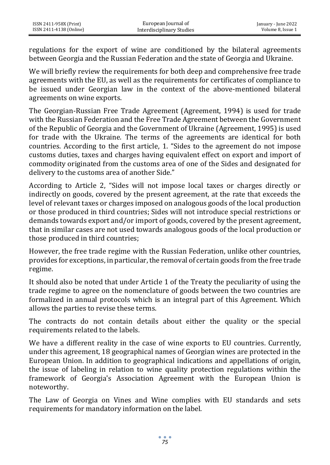regulations for the export of wine are conditioned by the bilateral agreements between Georgia and the Russian Federation and the state of Georgia and Ukraine.

We will briefly review the requirements for both deep and comprehensive free trade agreements with the EU, as well as the requirements for certificates of compliance to be issued under Georgian law in the context of the above-mentioned bilateral agreements on wine exports.

The Georgian-Russian Free Trade Agreement (Agreement, 1994) is used for trade with the Russian Federation and the Free Trade Agreement between the Government of the Republic of Georgia and the Government of Ukraine (Agreement, 1995) is used for trade with the Ukraine. The terms of the agreements are identical for both countries. According to the first article, 1. "Sides to the agreement do not impose customs duties, taxes and charges having equivalent effect on export and import of commodity originated from the customs area of one of the Sides and designated for delivery to the customs area of another Side."

According to Article 2, "Sides will not impose local taxes or charges directly or indirectly on goods, covered by the present agreement, at the rate that exceeds the level of relevant taxes or charges imposed on analogous goods of the local production or those produced in third countries; Sides will not introduce special restrictions or demands towards export and/or import of goods, covered by the present agreement, that in similar cases are not used towards analogous goods of the local production or those produced in third countries;

However, the free trade regime with the Russian Federation, unlike other countries, provides for exceptions, in particular, the removal of certain goods from the free trade regime.

It should also be noted that under Article 1 of the Treaty the peculiarity of using the trade regime to agree on the nomenclature of goods between the two countries are formalized in annual protocols which is an integral part of this Agreement. Which allows the parties to revise these terms.

The contracts do not contain details about either the quality or the special requirements related to the labels.

We have a different reality in the case of wine exports to EU countries. Currently, under this agreement, 18 geographical names of Georgian wines are protected in the European Union. In addition to geographical indications and appellations of origin, the issue of labeling in relation to wine quality protection regulations within the framework of Georgia's Association Agreement with the European Union is noteworthy.

The Law of Georgia on Vines and Wine complies with EU standards and sets requirements for mandatory information on the label.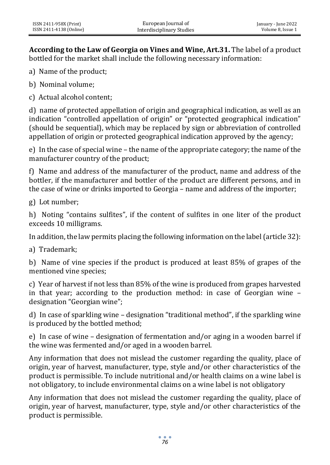**According to the Law of Georgia on Vines and Wine, Art.31.** The label of a product bottled for the market shall include the following necessary information:

a) Name of the product;

b) Nominal volume;

c) Actual alcohol content;

d) name of protected appellation of origin and geographical indication, as well as an indication "controlled appellation of origin" or "protected geographical indication" (should be sequential), which may be replaced by sign or abbreviation of controlled appellation of origin or protected geographical indication approved by the agency;

e) In the case of special wine – the name of the appropriate category; the name of the manufacturer country of the product;

f) Name and address of the manufacturer of the product, name and address of the bottler, if the manufacturer and bottler of the product are different persons, and in the case of wine or drinks imported to Georgia – name and address of the importer;

g) Lot number;

h) Noting "contains sulfites", if the content of sulfites in one liter of the product exceeds 10 milligrams.

In addition, the law permits placing the following information on the label (article 32):

a) Trademark;

b) Name of vine species if the product is produced at least 85% of grapes of the mentioned vine species;

c) Year of harvest if not less than 85% of the wine is produced from grapes harvested in that year; according to the production method: in case of Georgian wine – designation "Georgian wine";

d) In case of sparkling wine – designation "traditional method", if the sparkling wine is produced by the bottled method;

e) In case of wine – designation of fermentation and/or aging in a wooden barrel if the wine was fermented and/or aged in a wooden barrel.

Any information that does not mislead the customer regarding the quality, place of origin, year of harvest, manufacturer, type, style and/or other characteristics of the product is permissible. To include nutritional and/or health claims on a wine label is not obligatory, to include environmental claims on a wine label is not obligatory

Any information that does not mislead the customer regarding the quality, place of origin, year of harvest, manufacturer, type, style and/or other characteristics of the product is permissible.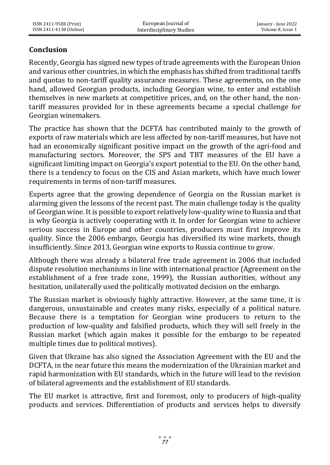# **Conclusion**

Recently, Georgia has signed new types of trade agreements with the European Union and various other countries, in which the emphasis has shifted from traditional tariffs and quotas to non-tariff quality assurance measures. These agreements, on the one hand, allowed Georgian products, including Georgian wine, to enter and establish themselves in new markets at competitive prices, and, on the other hand, the nontariff measures provided for in these agreements became a special challenge for Georgian winemakers.

The practice has shown that the DCFTA has contributed mainly to the growth of exports of raw materials which are less affected by non-tariff measures, but have not had an economically significant positive impact on the growth of the agri-food and manufacturing sectors. Moreover, the SPS and TBT measures of the EU have a significant limiting impact on Georgia's export potential to the EU. On the other hand, there is a tendency to focus on the CIS and Asian markets, which have much lower requirements in terms of non-tariff measures.

Experts agree that the growing dependence of Georgia on the Russian market is alarming given the lessons of the recent past. The main challenge today is the quality of Georgian wine. It is possible to export relatively low-quality wine to Russia and that is why Georgia is actively cooperating with it. In order for Georgian wine to achieve serious success in Europe and other countries, producers must first improve its quality. Since the 2006 embargo, Georgia has diversified its wine markets, though insufficiently. Since 2013, Georgian wine exports to Russia continue to grow.

Although there was already a bilateral free trade agreement in 2006 that included dispute resolution mechanisms in line with international practice (Agreement on the establishment of a free trade zone, 1999), the Russian authorities, without any hesitation, unilaterally used the politically motivated decision on the embargo.

The Russian market is obviously highly attractive. However, at the same time, it is dangerous, unsustainable and creates many risks, especially of a political nature. Because there is a temptation for Georgian wine producers to return to the production of low-quality and falsified products, which they will sell freely in the Russian market (which again makes it possible for the embargo to be repeated multiple times due to political motives).

Given that Ukraine has also signed the Association Agreement with the EU and the DCFTA, in the near future this means the modernization of the Ukrainian market and rapid harmonization with EU standards, which in the future will lead to the revision of bilateral agreements and the establishment of EU standards.

The EU market is attractive, first and foremost, only to producers of high-quality products and services. Differentiation of products and services helps to diversify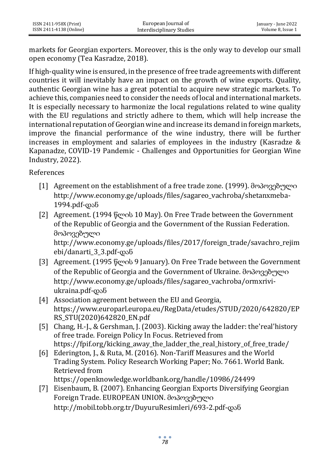markets for Georgian exporters. Moreover, this is the only way to develop our small open economy (Tea Kasradze, 2018).

If high-quality wine is ensured, in the presence of free trade agreements with different countries it will inevitably have an impact on the growth of wine exports. Quality, authentic Georgian wine has a great potential to acquire new strategic markets. To achieve this, companies need to consider the needs of local and international markets. It is especially necessary to harmonize the local regulations related to wine quality with the EU regulations and strictly adhere to them, which will help increase the international reputation of Georgian wine and increase its demand in foreign markets, improve the financial performance of the wine industry, there will be further increases in employment and salaries of employees in the industry (Kasradze & Kapanadze, COVID-19 Pandemic - Challenges and Opportunities for Georgian Wine Industry, 2022).

References

- [1] Agreement on the establishment of a free trade zone. (1999). მოპოვებული http://www.economy.ge/uploads/files/sagareo\_vachroba/shetanxmeba-1994.pdf-დან
- [2] Agreement. (1994 წლის 10 May). On Free Trade between the Government of the Republic of Georgia and the Government of the Russian Federation. მოპოვებული http://www.economy.ge/uploads/files/2017/foreign\_trade/savachro\_rejim
- ebi/danarti\_3\_3.pdf-დან [3] Agreement. (1995 წლის 9 January). On Free Trade between the Government of the Republic of Georgia and the Government of Ukraine. მოპოვებული http://www.economy.ge/uploads/files/sagareo\_vachroba/ormxriviukraina.pdf-დან
- [4] Association agreement between the EU and Georgia, https://www.europarl.europa.eu/RegData/etudes/STUD/2020/642820/EP RS\_STU(2020)642820\_EN.pdf
- [5] Chang, H.-J., & Gershman, J. (2003). Kicking away the ladder: the'real'history of free trade. Foreign Policy In Focus. Retrieved from https://fpif.org/kicking\_away\_the\_ladder\_the\_real\_history\_of\_free\_trade/
- [6] Ederington, J., & Ruta, M. (2016). Non-Tariff Measures and the World Trading System. Policy Research Working Paper; No. 7661. World Bank. Retrieved from

https://openknowledge.worldbank.org/handle/10986/24499

[7] Eisenbaum, B. (2007). Enhancing Georgian Exports Diversifying Georgian Foreign Trade. EUROPEAN UNION. მოპოვებული http://mobil.tobb.org.tr/DuyuruResimleri/693-2.pdf-დან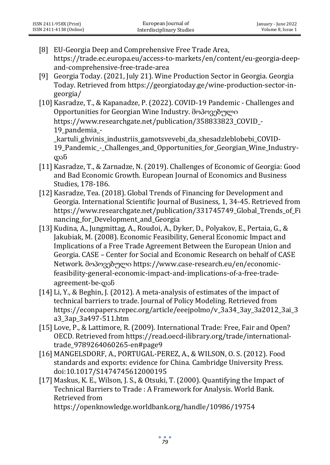- [8] EU-Georgia Deep and Comprehensive Free Trade Area, https://trade.ec.europa.eu/access-to-markets/en/content/eu-georgia-deepand-comprehensive-free-trade-area
- [9] Georgia Today. (2021, July 21). Wine Production Sector in Georgia. Georgia Today. Retrieved from https://georgiatoday.ge/wine-production-sector-ingeorgia/
- [10] Kasradze, T., & Kapanadze, P. (2022). COVID-19 Pandemic Challenges and Opportunities for Georgian Wine Industry. მოპოვებული https://www.researchgate.net/publication/358833823\_COVID\_-19\_pandemia\_- \_kartuli\_ghvinis\_industriis\_gamotsvevebi\_da\_shesadzleblobebi\_COVID-19 Pandemic - Challenges and Opportunities for Georgian Wine Industryდან
- [11] Kasradze, T., & Zarnadze, N. (2019). Challenges of Economic of Georgia: Good and Bad Economic Growth. European Journal of Economics and Business Studies, 178-186.
- [12] Kasradze, Tea. (2018). Global Trends of Financing for Development and Georgia. International Scientific Journal of Business, 1, 34-45. Retrieved from https://www.researchgate.net/publication/331745749 Global Trends of Fi nancing for Development and Georgia
- [13] Kudina, A., Jungmittag, A., Roudoi, A., Dyker, D., Polyakov, E., Pertaia, G., & Jakubiak, M. (2008). Economic Feasibility, General Economic Impact and Implications of a Free Trade Agreement Between the European Union and Georgia. CASE – Center for Social and Economic Research on behalf of CASE Network. მოპოვებული https://www.case-research.eu/en/economicfeasibility-general-economic-impact-and-implications-of-a-free-tradeagreement-be-დან
- [14] Li, Y., & Beghin, J. (2012). A meta-analysis of estimates of the impact of technical barriers to trade. Journal of Policy Modeling. Retrieved from https://econpapers.repec.org/article/eeejpolmo/v\_3a34\_3ay\_3a2012\_3ai\_3 a3\_3ap\_3a497-511.htm
- [15] Love, P., & Lattimore, R. (2009). International Trade: Free, Fair and Open? OECD. Retrieved from https://read.oecd-ilibrary.org/trade/internationaltrade\_9789264060265-en#page9
- [16] MANGELSDORF, A., PORTUGAL-PEREZ, A., & WILSON, O. S. (2012). Food standards and exports: evidence for China. Cambridge University Press. doi:10.1017/S1474745612000195
- [17] Maskus, K. E., Wilson, J. S., & Otsuki, T. (2000). Quantifying the Impact of Technical Barriers to Trade : A Framework for Analysis. World Bank. Retrieved from

https://openknowledge.worldbank.org/handle/10986/19754